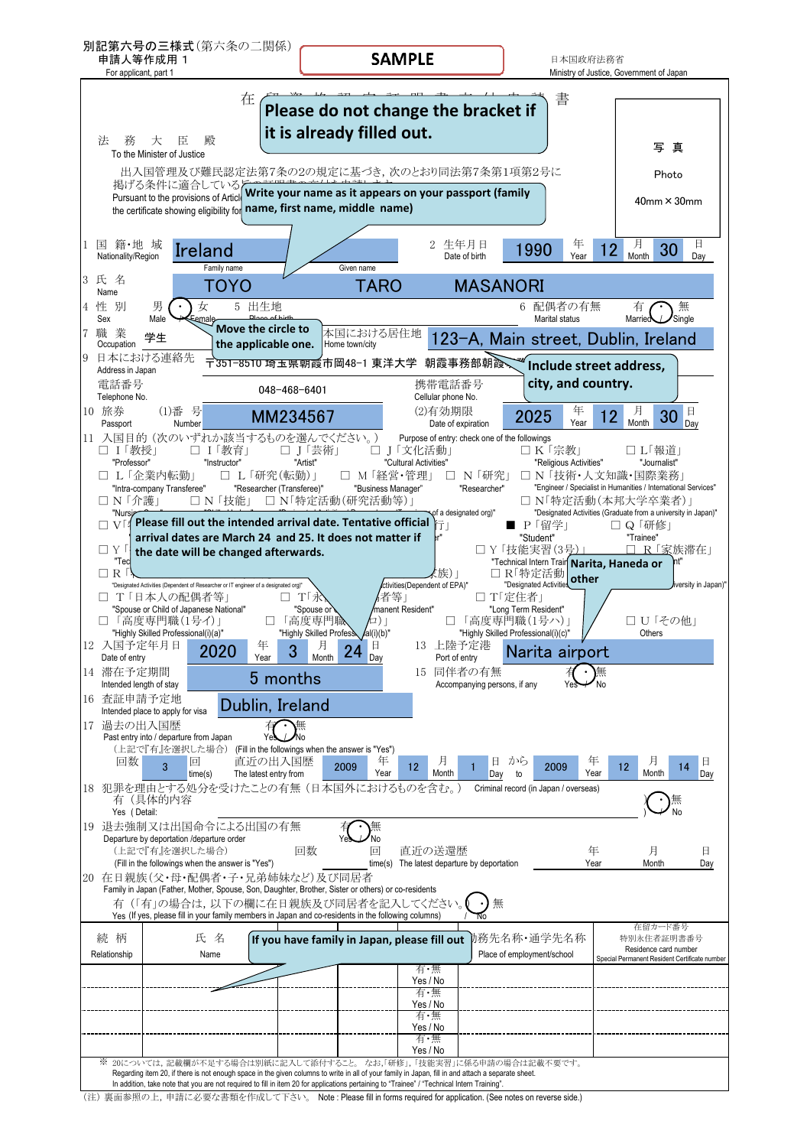

(注) 裏面参照の上,申請に必要な書類を作成して下さい。 Note : Please fill in forms required for application. (See notes on reverse side.)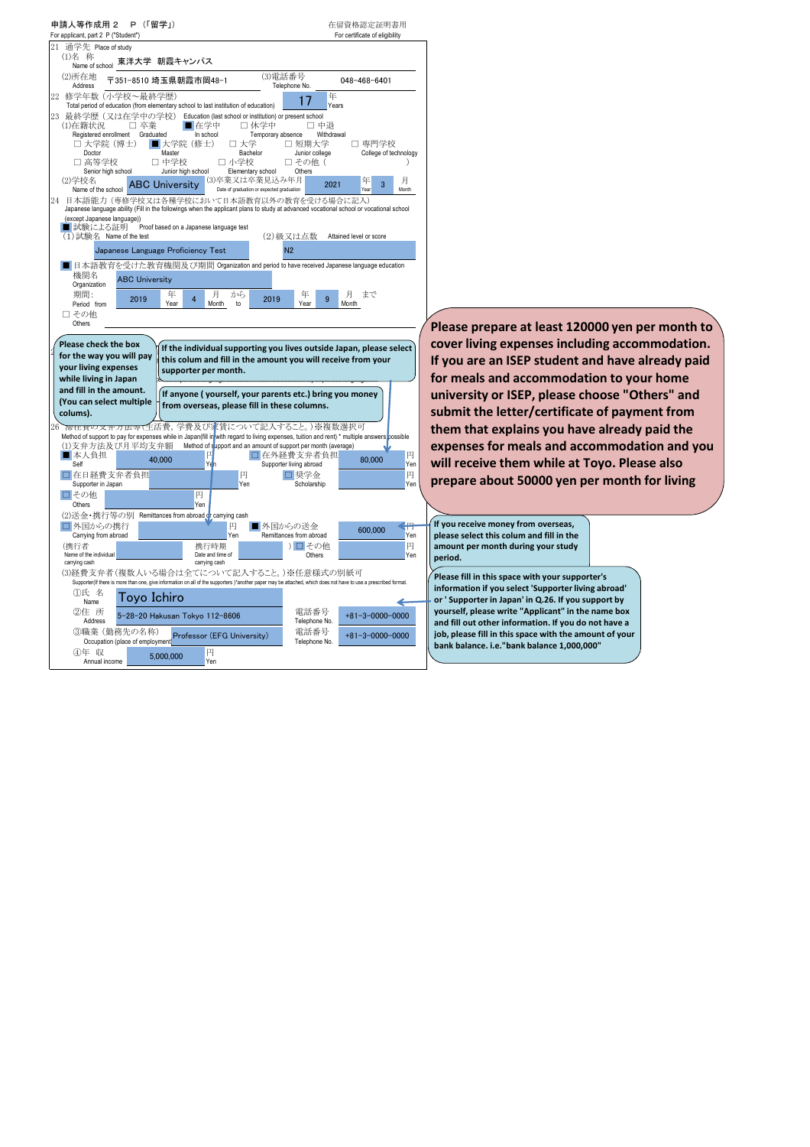| 申請人等作成用 2 P (「留学」)<br>For applicant, part 2 P ("Student")                                                                                                                                                                                                                                                                                                                                                                                                        | 在留資格認定証明書用<br>For certificate of eligibility                                                                                                                                                                                                      |
|------------------------------------------------------------------------------------------------------------------------------------------------------------------------------------------------------------------------------------------------------------------------------------------------------------------------------------------------------------------------------------------------------------------------------------------------------------------|---------------------------------------------------------------------------------------------------------------------------------------------------------------------------------------------------------------------------------------------------|
| 通学先 Place of study<br>21<br>(1)名 称<br>東洋大学 朝霞キャンパス<br>Name of school                                                                                                                                                                                                                                                                                                                                                                                             |                                                                                                                                                                                                                                                   |
| (3)電話番号<br>(2)所在地<br>〒351-8510 埼玉県朝霞市岡48-1<br>Telephone No.<br>Address                                                                                                                                                                                                                                                                                                                                                                                           | 048-468-6401                                                                                                                                                                                                                                      |
| 22 修学年数 (小学校~最終学歴)<br>17<br>Total period of education (from elementary school to last institution of education)                                                                                                                                                                                                                                                                                                                                                  | 年<br>Years                                                                                                                                                                                                                                        |
| 23 最終学歴 (又は在学中の学校) Education (last school or institution) or present school<br>■ 在学中<br>□ 休学中<br>(1)在籍状況<br>□ 卒業<br>Registered enrollment<br>Graduated<br>In school<br>Temporary absence<br>□ 大学院 (博士)<br>■大学院 (修士)<br>口 大学<br>□ 短期大学<br>Master<br>Junior college<br>Doctor<br>Bachelor<br>□ 高等学校<br>□ 中学校<br>小学校<br>□ その他(<br>п<br>Senior high school<br>Junior high school<br>Elementary school<br>Others<br>(3)卒業又は卒業見込み年月<br>(2)学校名<br><b>ABC University</b> | □ 中退<br>Withdrawal<br>□ 専門学校<br>College of technology<br>月<br>年<br>2021<br>з                                                                                                                                                                      |
| Date of graduation or expected graduation<br>Name of the school<br>24 日本語能力 (専修学校又は各種学校において日本語教育以外の教育を受ける場合に記入)<br>Japanese language ability (Fill in the followings when the applicant plans to study at advanced vocational school or vocational school<br>(except Japanese language))<br>■ 試験による証明<br>Proof based on a Japanese language test                                                                                                                 | Month                                                                                                                                                                                                                                             |
| (1) 試験名 Name of the test<br>N <sub>2</sub><br>Japanese Language Proficiency Test                                                                                                                                                                                                                                                                                                                                                                                 | (2)級又は点数 Attained level or score                                                                                                                                                                                                                  |
| ■ 日本語教育を受けた教育機関及び期間 Organization and period to have received Japanese language education<br>機関名<br><b>ABC University</b>                                                                                                                                                                                                                                                                                                                                         |                                                                                                                                                                                                                                                   |
| Organization<br>期間:<br>年<br>月<br>から<br>年<br>2019<br>2019<br>$\overline{4}$<br>Period from<br>Year<br>Month<br>to<br>Year                                                                                                                                                                                                                                                                                                                                         | 月<br>まで<br>9<br>Month                                                                                                                                                                                                                             |
| □その他<br>Others                                                                                                                                                                                                                                                                                                                                                                                                                                                   | Please prepare at least 120000 yen per month to                                                                                                                                                                                                   |
| Please check the box<br>If the individual supporting you lives outside Japan, please select<br>for the way you will pay<br>this colum and fill in the amount you will receive from your<br>your living expenses<br>supporter per month.<br>while living in Japan<br>and fill in the amount.<br>If anyone (yourself, your parents etc.) bring you money<br>(You can select multiple<br>from overseas, please fill in these columns.<br>colums).                   | cover living expenses including accommodation.<br>If you are an ISEP student and have already paid<br>for meals and accommodation to your home<br>university or ISEP, please choose "Others" and<br>submit the letter/certificate of payment from |
| 而在實の又开万法寺(生活費,学費及び家賃について記入すること。)※複数選択可<br>Method of support to pay for expenses while in Japan(fill in with regard to living expenses, tuition and rent) * multiple answers possible                                                                                                                                                                                                                                                                             | them that explains you have already paid the                                                                                                                                                                                                      |
| Method of support and an amount of support per month (average)<br>(1)支弁方法及び月平均支弁額<br>■ 本人負担<br>□ 在外経費支弁者負担<br>40.000                                                                                                                                                                                                                                                                                                                                             | expenses for meals and accommodation and you<br>円<br>80,000                                                                                                                                                                                       |
| Self<br>Supporter living abroad<br>□在日経費支弁者負担<br>円<br>口 奨学金<br>Supporter in Japan<br>Yen<br>Scholarship                                                                                                                                                                                                                                                                                                                                                          | will receive them while at Toyo. Please also<br>Yen<br>円<br>prepare about 50000 yen per month for living<br>Yen                                                                                                                                   |
| 円<br>□その他<br>Yen<br>Others                                                                                                                                                                                                                                                                                                                                                                                                                                       |                                                                                                                                                                                                                                                   |
| (2)送金・携行等の別<br>Remittances from abroad or carrying cash<br>□外国からの携行<br>円<br>■外国からの送金                                                                                                                                                                                                                                                                                                                                                                             | If you receive money from overseas,<br>æ                                                                                                                                                                                                          |
| Carrying from abroad<br>Yen<br>Remittances from abroad<br>(携行者<br>) 口 その他<br>携行時期                                                                                                                                                                                                                                                                                                                                                                                | 600.000<br>please select this colum and fill in the<br>Yen<br>円<br>amount per month during your study                                                                                                                                             |
| Name of the individual<br>Date and time of<br>Others<br>carrying cash<br>carrying cash<br>(3)経費支弁者(複数人いる場合は全てについて記入すること。)※任意様式の別紙可                                                                                                                                                                                                                                                                                                                               | Yen<br>period.                                                                                                                                                                                                                                    |
| Supporter(If there is more than one, give information on all of the supporters )*another paper may be attached, which does not have to use a prescribed format.<br>①氏 名<br>Toyo Ichiro<br>Name                                                                                                                                                                                                                                                                   | Please fill in this space with your supporter's<br>information if you select 'Supporter living abroad'<br>or 'Supporter in Japan' in Q.26. If you support by                                                                                      |
| ②住 所<br>電話番号<br>5-28-20 Hakusan Tokyo 112-8606<br>Telephone No.<br>Address<br>3職業 (勤務先の名称)<br>電話番号                                                                                                                                                                                                                                                                                                                                                               | yourself, please write "Applicant" in the name box<br>$+81 - 3 - 0000 - 0000$<br>and fill out other information. If you do not have a                                                                                                             |
| Professor (EFG University)<br>Occupation (place of employment<br>Telephone No.<br>4年 収<br>円<br>5.000.000<br>Annual income<br>Yen                                                                                                                                                                                                                                                                                                                                 | job, please fill in this space with the amount of your<br>$+81 - 3 - 0000 - 0000$<br>bank balance. i.e."bank balance 1,000,000"                                                                                                                   |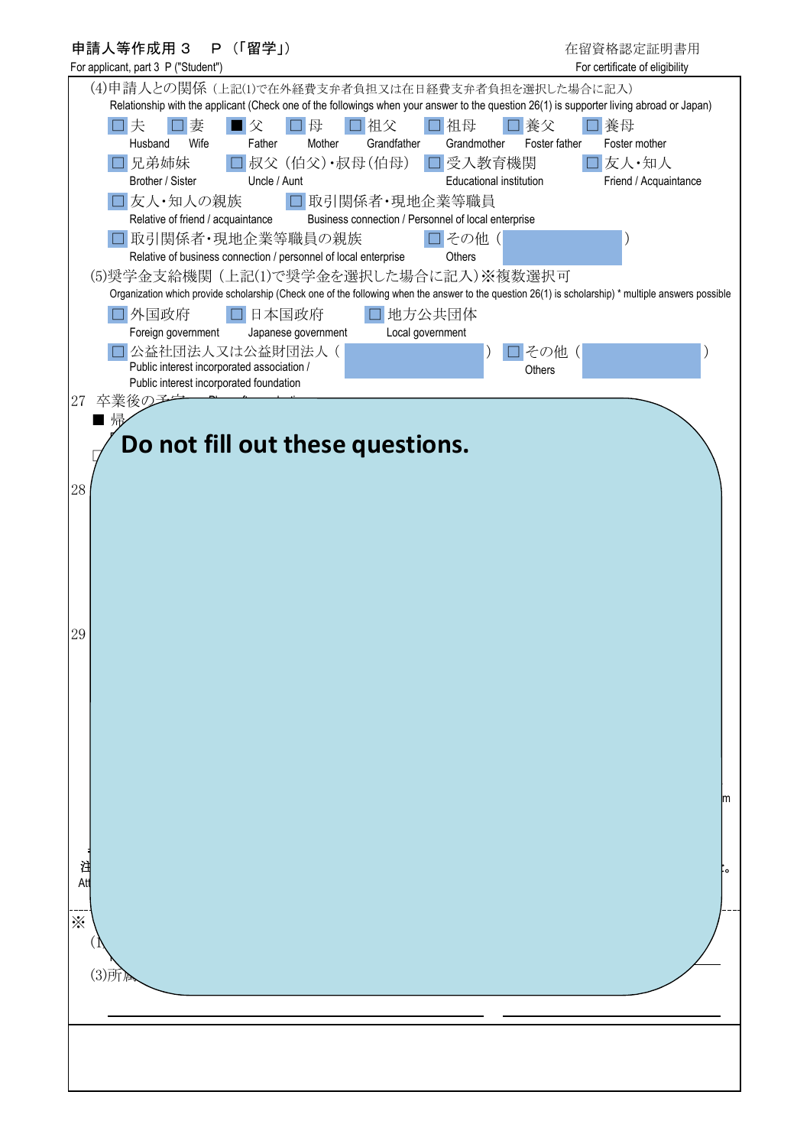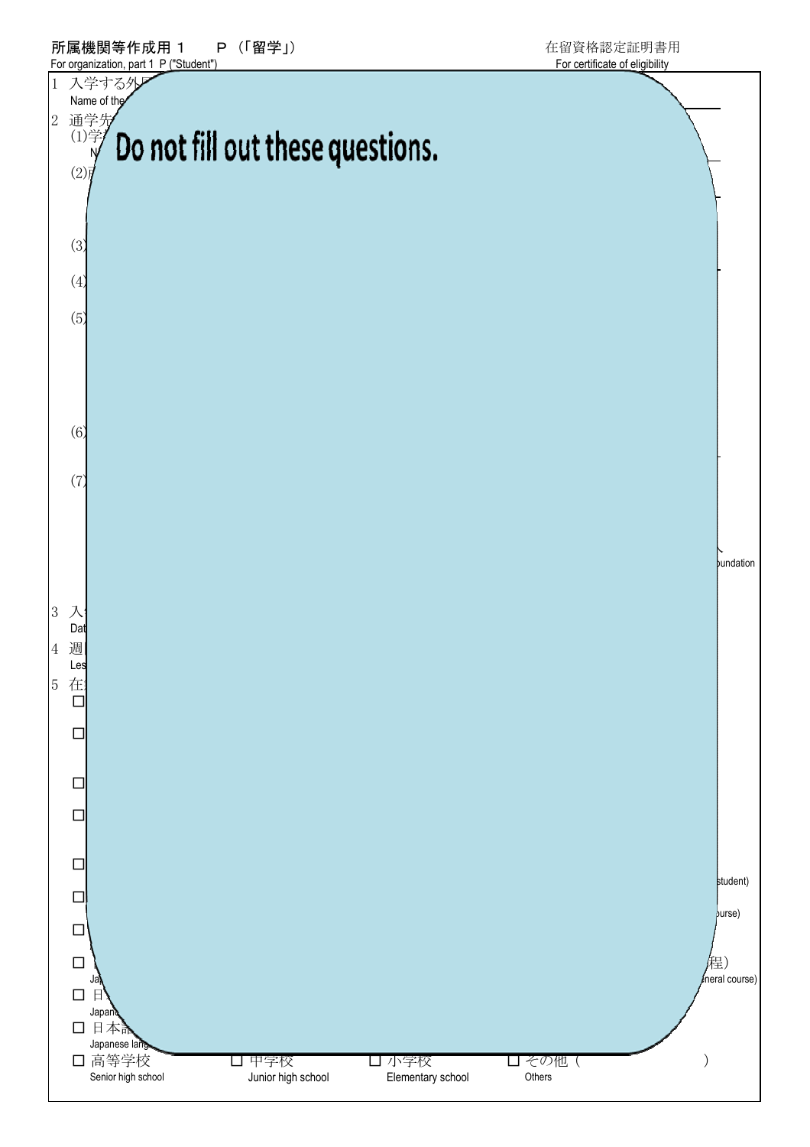